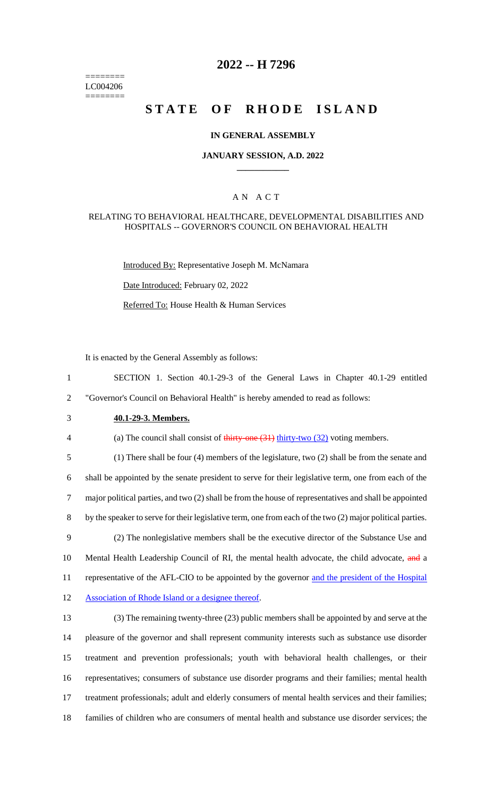======== LC004206 ========

# **2022 -- H 7296**

# **STATE OF RHODE ISLAND**

### **IN GENERAL ASSEMBLY**

### **JANUARY SESSION, A.D. 2022 \_\_\_\_\_\_\_\_\_\_\_\_**

## A N A C T

### RELATING TO BEHAVIORAL HEALTHCARE, DEVELOPMENTAL DISABILITIES AND HOSPITALS -- GOVERNOR'S COUNCIL ON BEHAVIORAL HEALTH

Introduced By: Representative Joseph M. McNamara

Date Introduced: February 02, 2022

Referred To: House Health & Human Services

It is enacted by the General Assembly as follows:

1 SECTION 1. Section 40.1-29-3 of the General Laws in Chapter 40.1-29 entitled 2 "Governor's Council on Behavioral Health" is hereby amended to read as follows:

3 **40.1-29-3. Members.**

4 (a) The council shall consist of thirty-one (31) thirty-two (32) voting members.

 (1) There shall be four (4) members of the legislature, two (2) shall be from the senate and shall be appointed by the senate president to serve for their legislative term, one from each of the major political parties, and two (2) shall be from the house of representatives and shall be appointed by the speaker to serve for their legislative term, one from each of the two (2) major political parties. (2) The nonlegislative members shall be the executive director of the Substance Use and 10 Mental Health Leadership Council of RI, the mental health advocate, the child advocate, and a 11 representative of the AFL-CIO to be appointed by the governor and the president of the Hospital

12 Association of Rhode Island or a designee thereof.

 (3) The remaining twenty-three (23) public members shall be appointed by and serve at the pleasure of the governor and shall represent community interests such as substance use disorder treatment and prevention professionals; youth with behavioral health challenges, or their representatives; consumers of substance use disorder programs and their families; mental health treatment professionals; adult and elderly consumers of mental health services and their families; families of children who are consumers of mental health and substance use disorder services; the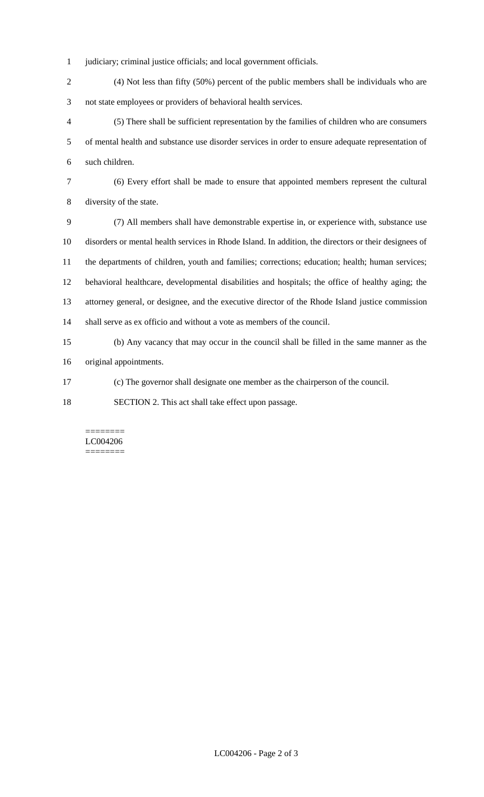- judiciary; criminal justice officials; and local government officials.
- (4) Not less than fifty (50%) percent of the public members shall be individuals who are not state employees or providers of behavioral health services.
- (5) There shall be sufficient representation by the families of children who are consumers of mental health and substance use disorder services in order to ensure adequate representation of such children.
- 

 (6) Every effort shall be made to ensure that appointed members represent the cultural diversity of the state.

 (7) All members shall have demonstrable expertise in, or experience with, substance use disorders or mental health services in Rhode Island. In addition, the directors or their designees of the departments of children, youth and families; corrections; education; health; human services; behavioral healthcare, developmental disabilities and hospitals; the office of healthy aging; the attorney general, or designee, and the executive director of the Rhode Island justice commission shall serve as ex officio and without a vote as members of the council.

 (b) Any vacancy that may occur in the council shall be filled in the same manner as the original appointments.

(c) The governor shall designate one member as the chairperson of the council.

SECTION 2. This act shall take effect upon passage.

#### ======== LC004206 ========